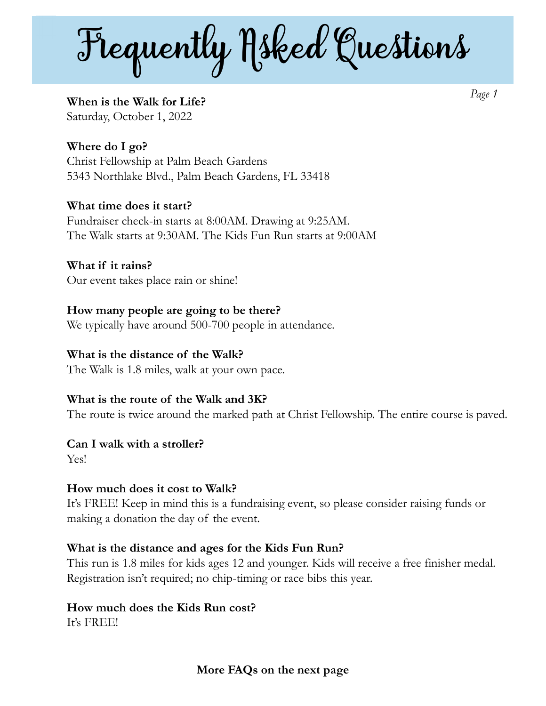Frequently  $N$ sked Questions

**When is the Walk for Life?**  Saturday, October 1, 2022

*Page 1* 

**Where do I go?**  Christ Fellowship at Palm Beach Gardens 5343 Northlake Blvd., Palm Beach Gardens, FL 33418

**What time does it start?**  Fundraiser check-in starts at 8:00AM. Drawing at 9:25AM. The Walk starts at 9:30AM. The Kids Fun Run starts at 9:00AM

**What if it rains?**  Our event takes place rain or shine!

**How many people are going to be there?**  We typically have around 500-700 people in attendance.

#### **What is the distance of the Walk?**

The Walk is 1.8 miles, walk at your own pace.

#### **What is the route of the Walk and 3K?**

The route is twice around the marked path at Christ Fellowship. The entire course is paved.

#### **Can I walk with a stroller?**

Yes!

#### **How much does it cost to Walk?**

It's FREE! Keep in mind this is a fundraising event, so please consider raising funds or making a donation the day of the event.

#### **What is the distance and ages for the Kids Fun Run?**

This run is 1.8 miles for kids ages 12 and younger. Kids will receive a free finisher medal. Registration isn't required; no chip-timing or race bibs this year.

# **How much does the Kids Run cost?**

It's FREE!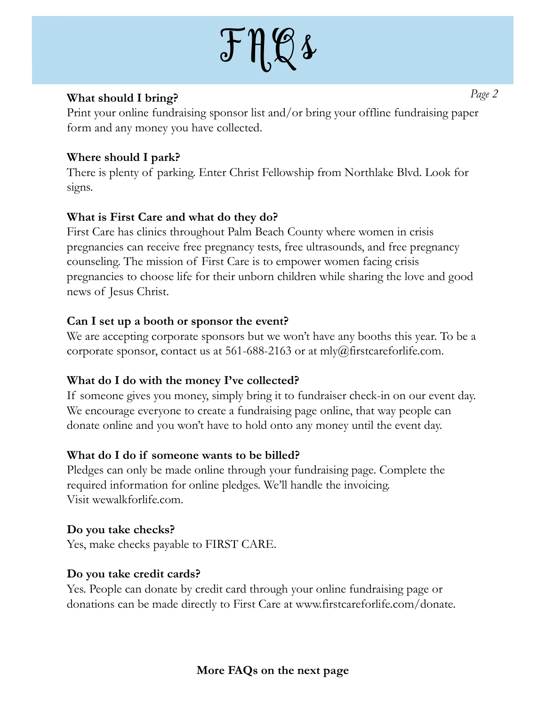# $J \mathcal{H} \mathcal{L}$

#### **What should I bring?**

Print your online fundraising sponsor list and/or bring your offline fundraising paper form and any money you have collected.

# **Where should I park?**

There is plenty of parking. Enter Christ Fellowship from Northlake Blvd. Look for signs.

# **What is First Care and what do they do?**

First Care has clinics throughout Palm Beach County where women in crisis pregnancies can receive free pregnancy tests, free ultrasounds, and free pregnancy counseling. The mission of First Care is to empower women facing crisis pregnancies to choose life for their unborn children while sharing the love and good news of Jesus Christ.

#### **Can I set up a booth or sponsor the event?**

We are accepting corporate sponsors but we won't have any booths this year. To be a corporate sponsor, contact us at 561-688-2163 or at mly@firstcareforlife.com.

#### **What do I do with the money I've collected?**

If someone gives you money, simply bring it to fundraiser check-in on our event day. We encourage everyone to create a fundraising page online, that way people can donate online and you won't have to hold onto any money until the event day.

#### **What do I do if someone wants to be billed?**

Pledges can only be made online through your fundraising page. Complete the required information for online pledges. We'll handle the invoicing. Visit wewalkforlife.com.

#### **Do you take checks?**

Yes, make checks payable to FIRST CARE.

#### **Do you take credit cards?**

Yes. People can donate by credit card through your online fundraising page or donations can be made directly to First Care at www.firstcareforlife.com/donate. *Page 2*